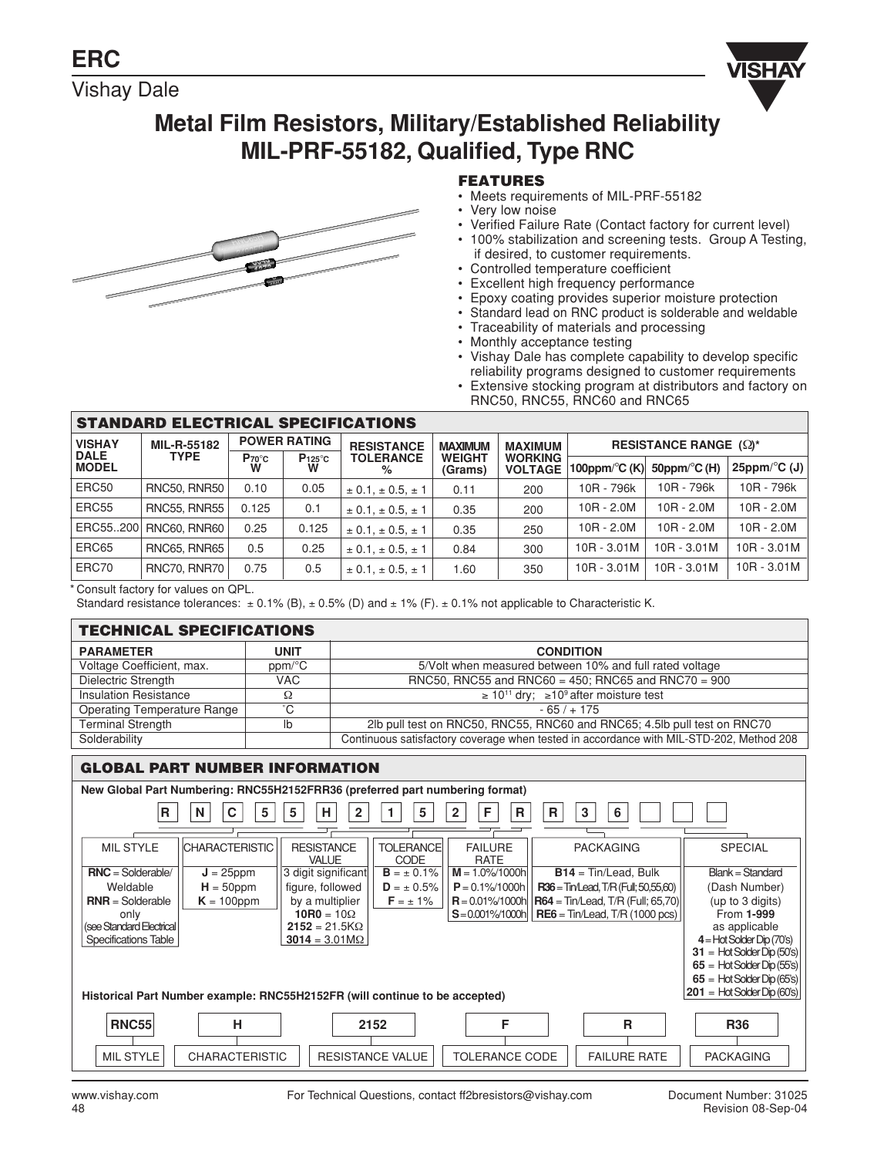Vishay Dale



# **Metal Film Resistors, Military/Established Reliability MIL-PRF-55182, Qualified, Type RNC**



## **FEATURES**

- Meets requirements of MIL-PRF-55182
- Very low noise
- Verified Failure Rate (Contact factory for current level)
- 100% stabilization and screening tests. Group A Testing, if desired, to customer requirements.
- Controlled temperature coefficient
- Excellent high frequency performance
- Epoxy coating provides superior moisture protection
- Standard lead on RNC product is solderable and weldable
- Traceability of materials and processing
- Monthly acceptance testing
- Vishay Dale has complete capability to develop specific reliability programs designed to customer requirements
- Extensive stocking program at distributors and factory on RNC50, RNC55, RNC60 and RNC65

| <b>STANDARD ELECTRICAL SPECIFICATIONS</b>    |                            |                     |                          |                               |                          |                                  |                                                                  |              |                                 |
|----------------------------------------------|----------------------------|---------------------|--------------------------|-------------------------------|--------------------------|----------------------------------|------------------------------------------------------------------|--------------|---------------------------------|
| <b>VISHAY</b><br><b>DALE</b><br><b>MODEL</b> | MIL-R-55182<br><b>TYPE</b> | <b>POWER RATING</b> |                          | <b>RESISTANCE</b>             | <b>MAXIMUM</b>           | <b>MAXIMUM</b>                   | <b>RESISTANCE RANGE (2)*</b>                                     |              |                                 |
|                                              |                            | Proc<br>W           | $P_{125}^{\circ}$ c<br>W | <b>TOLERANCE</b><br>%         | <b>WEIGHT</b><br>(Grams) | <b>WORKING</b><br><b>VOLTAGE</b> | 100ppm/ $\mathrm{^{\circ}C}$ (K) 50ppm/ $\mathrm{^{\circ}C}$ (H) |              | 25ppm/ $\mathrm{^{\circ}C}$ (J) |
| ERC50                                        | <b>RNC50, RNR50</b>        | 0.10                | 0.05                     | $\pm$ 0.1, $\pm$ 0.5, $\pm$ 1 | 0.11                     | 200                              | 10R - 796k                                                       | 10R - 796k   | 10R - 796k                      |
| ERC55                                        | <b>RNC55, RNR55</b>        | 0.125               | 0.1                      | $\pm$ 0.1, $\pm$ 0.5, $\pm$ 1 | 0.35                     | 200                              | $10R - 2.0M$                                                     | $10R - 2.0M$ | $10R - 2.0M$                    |
| ERC55200                                     | <b>RNC60, RNR60</b>        | 0.25                | 0.125                    | $\pm$ 0.1, $\pm$ 0.5, $\pm$ 1 | 0.35                     | 250                              | $10R - 2.0M$                                                     | $10R - 2.0M$ | $10R - 2.0M$                    |
| ERC65                                        | <b>RNC65, RNR65</b>        | 0.5                 | 0.25                     | $\pm$ 0.1, $\pm$ 0.5, $\pm$ 1 | 0.84                     | 300                              | 10R - 3.01M                                                      | 10R - 3.01M  | $10R - 3.01M$                   |
| ERC70                                        | RNC70, RNR70               | 0.75                | 0.5                      | $\pm$ 0.1, $\pm$ 0.5, $\pm$ 1 | 1.60                     | 350                              | 10R - 3.01M                                                      | 10R - 3.01M  | $10R - 3.01M$                   |

\* Consult factory for values on QPL.

Standard resistance tolerances:  $\pm 0.1\%$  (B),  $\pm 0.5\%$  (D) and  $\pm 1\%$  (F).  $\pm 0.1\%$  not applicable to Characteristic K.

#### **PARAMETER UNIT UNIT CONDITION** Voltage Coefficient, max. ppm/°C 5/Volt when measured between 10% and full rated voltage<br>Dielectric Strength VAC RNC50, RNC55 and RNC60 = 450; RNC65 and RNC70 = 90 Dielectric Strength VAC RNC50, RNC55 and RNC60 = 450; RNC65 and RNC70 = 900 Insulation Resistance  $\Omega$   $\Omega$ <br>Operating Temperature Range  $\Omega$   $\subset$   $\sim$  10<sup>11</sup> dry;  $\geq 10^{9}$  after moisture test Operating Temperature Range is a control of C contract the set of  $65/ + 175$ Terminal Strength **lb** 2lb pull test on RNC50, RNC55, RNC60 and RNC65; 4.5lb pull test on RNC70 Solderability Continuous satisfactory coverage when tested in accordance with MIL-STD-202, Method 208 **TECHNICAL SPECIFICATIONS** MIL STYLE CHARACTERISTIC RESISTANCE TOLERANCE FAILURE SPACKAGING SPECIAL VALUE CODE RATE<br>3 digit significant  $B = \pm 0.1\%$   $M = 1.0\% / 1000h$ **RNC** = Solderable/ **J** = 25ppm 3 digit significant **B** =  $\pm$  0.1% **M** = 1.0%/1000h **B14** = Tin/Lead, Bulk Blank = Standard Weldable **H** = 50ppm figure, followed **B** =  $\pm$  0.5% **P** = 0.1%/1000h **R36** = Tin/Lead, T/R (Fu Weldable **H** = 50ppm figure, followed **D** = ± 0.5% **P** = 0.1%/1000h **R36** = Tin/Lead, T/R (Full; 50,55,60) **RSH NUMBER NUMBER** Number 1.1% (Dash Number) (Dash Numbers) (Dash Numbers) (Dash Numbers) (Dash Numbers) (Dash Num **R** = 0.01%/1000h **R64** = Tin/Lead, T/R (Full; 65,70) (up to 3 digits) **R04** = 100 **R64** = Tin/Lead, T/R (Full; 65,70) (up to 3 digits) <br> **R0** = 100 **R66** = Tin/Lead, T/R (1000 pcs) From 1-999 **10R0** = 10Ω **S** = 0.001%/1000h **RE6** = Tin/Lead, T/R (1000 pcs) From **1-999**<br>**2152** = 21.5KΩ as applicable (see Standard Electrical **2152** = 21.5KΩ<br>
Specifications Table **2014** a 3.01MΩ **4** = Hot Solder Dip (70's) **31** = Hot Solder Dip (50's) **65** = Hot Solder Dip (55's) **65** = Hot Solder Dip (65's) **201** = Hot Solder Dip (60's) **GLOBAL PART NUMBER INFORMATION New Global Part Numbering: RNC55H2152FRR36 (preferred part numbering format)** R | |N | |C | |5 | |5 | |H | |2 | |1 | |5 | |2 | |F | |R | |R | |3 | |6 **Historical Part Number example: RNC55H2152FR (will continue to be accepted)** RNC55 | H | 2152 | F | R | R R36 MIL STYLE | CHARACTERISTIC | RESISTANCE VALUE | TOLERANCE CODE | FAILURE RATE | PACKAGING